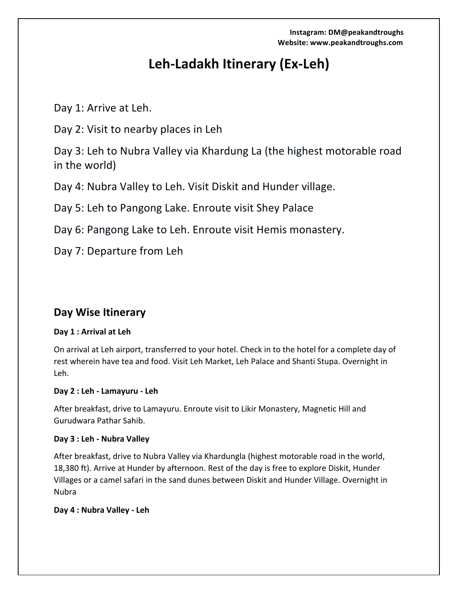**Instagram: DM@peakandtroughs** Website: www.peakandtroughs.com

# Leh-Ladakh Itinerary (Ex-Leh)

Day 1: Arrive at Leh.

Day 2: Visit to nearby places in Leh

Day 3: Leh to Nubra Valley via Khardung La (the highest motorable road in the world)

Day 4: Nubra Valley to Leh. Visit Diskit and Hunder village.

Day 5: Leh to Pangong Lake. Enroute visit Shey Palace

Day 6: Pangong Lake to Leh. Enroute visit Hemis monastery.

Day 7: Departure from Leh

# **Day Wise Itinerary**

# Day 1 : Arrival at Leh

On arrival at Leh airport, transferred to your hotel. Check in to the hotel for a complete day of rest wherein have tea and food. Visit Leh Market, Leh Palace and Shanti Stupa. Overnight in Leh.

# **Day 2 : Leh - Lamayuru - Leh**

After breakfast, drive to Lamayuru. Enroute visit to Likir Monastery, Magnetic Hill and Gurudwara Pathar Sahib.

# **Day 3 : Leh - Nubra Valley**

After breakfast, drive to Nubra Valley via Khardungla (highest motorable road in the world, 18,380 ft). Arrive at Hunder by afternoon. Rest of the day is free to explore Diskit, Hunder Villages or a camel safari in the sand dunes between Diskit and Hunder Village. Overnight in Nubra

# **Day 4 : Nubra Valley - Leh**